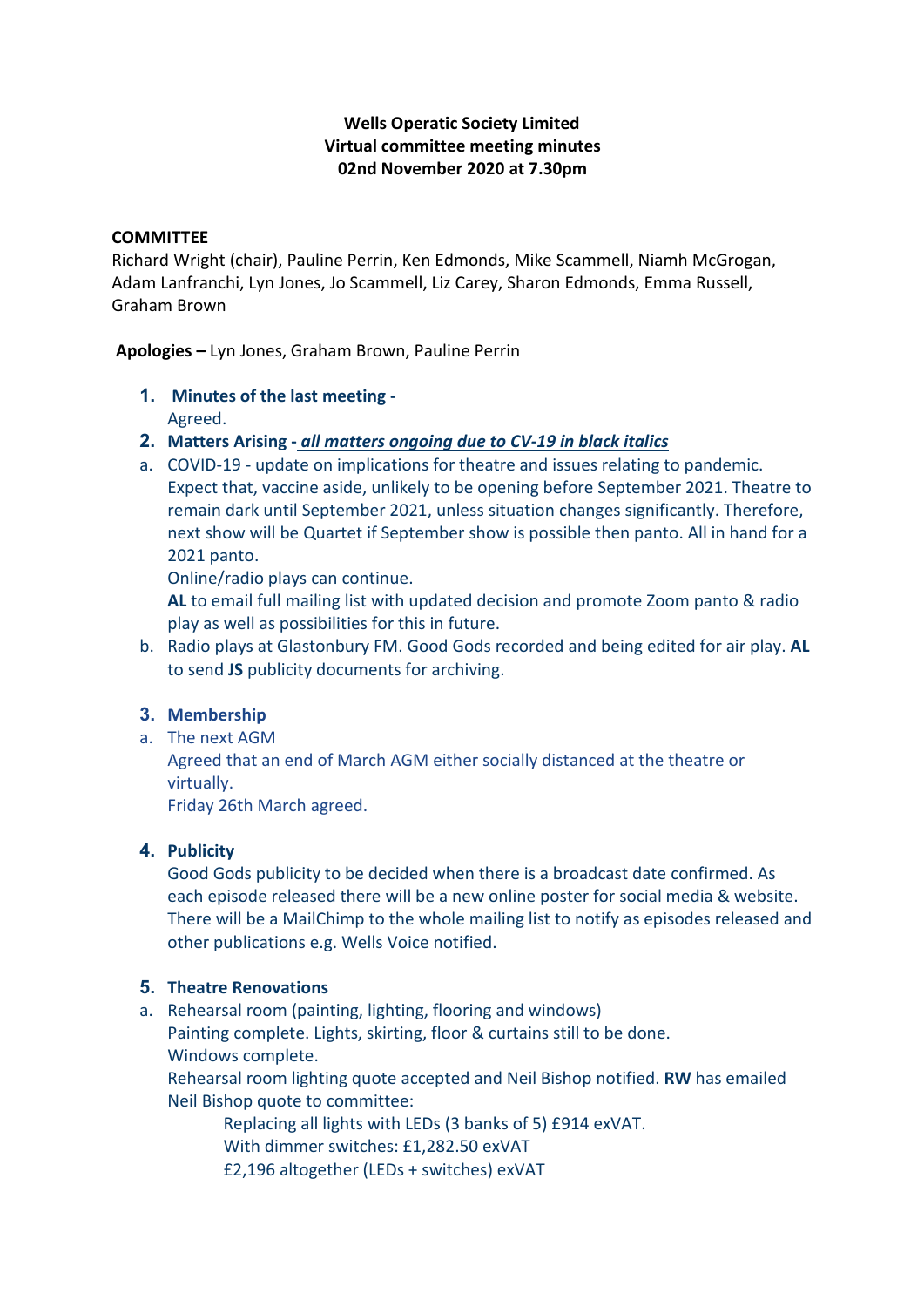## **Wells Operatic Society Limited Virtual committee meeting minutes 02nd November 2020 at 7.30pm**

#### **COMMITTEE**

Richard Wright (chair), Pauline Perrin, Ken Edmonds, Mike Scammell, Niamh McGrogan, Adam Lanfranchi, Lyn Jones, Jo Scammell, Liz Carey, Sharon Edmonds, Emma Russell, Graham Brown

**Apologies –** Lyn Jones, Graham Brown, Pauline Perrin

- **1. Minutes of the last meeting -** Agreed.
- **2. Matters Arising -** *all matters ongoing due to CV-19 in black italics*
- a. COVID-19 update on implications for theatre and issues relating to pandemic. Expect that, vaccine aside, unlikely to be opening before September 2021. Theatre to remain dark until September 2021, unless situation changes significantly. Therefore, next show will be Quartet if September show is possible then panto. All in hand for a 2021 panto.

Online/radio plays can continue.

**AL** to email full mailing list with updated decision and promote Zoom panto & radio play as well as possibilities for this in future.

b. Radio plays at Glastonbury FM. Good Gods recorded and being edited for air play. **AL**  to send **JS** publicity documents for archiving.

### **3. Membership**

a. The next AGM

Agreed that an end of March AGM either socially distanced at the theatre or virtually.

Friday 26th March agreed.

### **4. Publicity**

Good Gods publicity to be decided when there is a broadcast date confirmed. As each episode released there will be a new online poster for social media & website. There will be a MailChimp to the whole mailing list to notify as episodes released and other publications e.g. Wells Voice notified.

### **5. Theatre Renovations**

a. Rehearsal room (painting, lighting, flooring and windows)

Painting complete. Lights, skirting, floor & curtains still to be done. Windows complete.

Rehearsal room lighting quote accepted and Neil Bishop notified. **RW** has emailed Neil Bishop quote to committee:

Replacing all lights with LEDs (3 banks of 5) £914 exVAT. With dimmer switches: £1,282.50 exVAT

£2,196 altogether (LEDs + switches) exVAT